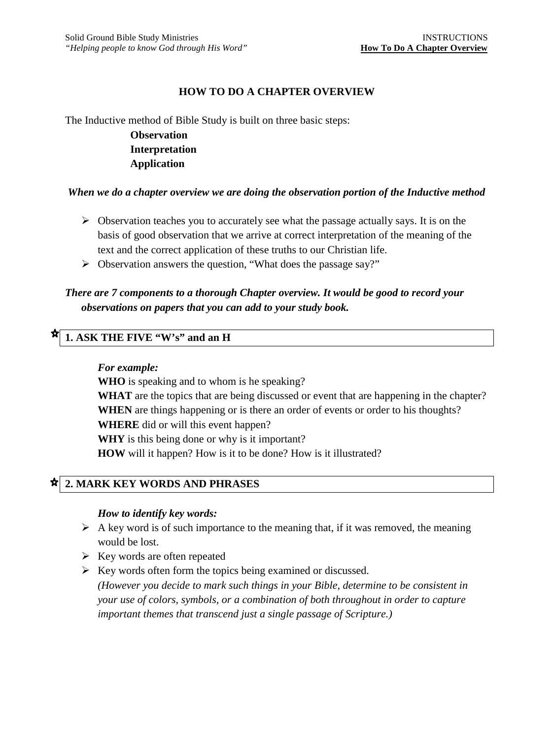### **HOW TO DO A CHAPTER OVERVIEW**

The Inductive method of Bible Study is built on three basic steps: **Observation** 

> **Interpretation Application**

#### *When we do a chapter overview we are doing the observation portion of the Inductive method*

- $\triangleright$  Observation teaches you to accurately see what the passage actually says. It is on the basis of good observation that we arrive at correct interpretation of the meaning of the text and the correct application of these truths to our Christian life.
- $\triangleright$  Observation answers the question, "What does the passage say?"

# *There are 7 components to a thorough Chapter overview. It would be good to record your observations on papers that you can add to your study book.*

## **1. ASK THE FIVE "W's" and an H**

#### *For example:*

**WHO** is speaking and to whom is he speaking?

WHAT are the topics that are being discussed or event that are happening in the chapter? **WHEN** are things happening or is there an order of events or order to his thoughts? **WHERE** did or will this event happen?

**WHY** is this being done or why is it important?

**HOW** will it happen? How is it to be done? How is it illustrated?

### **2. MARK KEY WORDS AND PHRASES**

#### *How to identify key words:*

- $\triangleright$  A key word is of such importance to the meaning that, if it was removed, the meaning would be lost.
- $\triangleright$  Key words are often repeated
- $\triangleright$  Key words often form the topics being examined or discussed. *(However you decide to mark such things in your Bible, determine to be consistent in your use of colors, symbols, or a combination of both throughout in order to capture important themes that transcend just a single passage of Scripture.)*